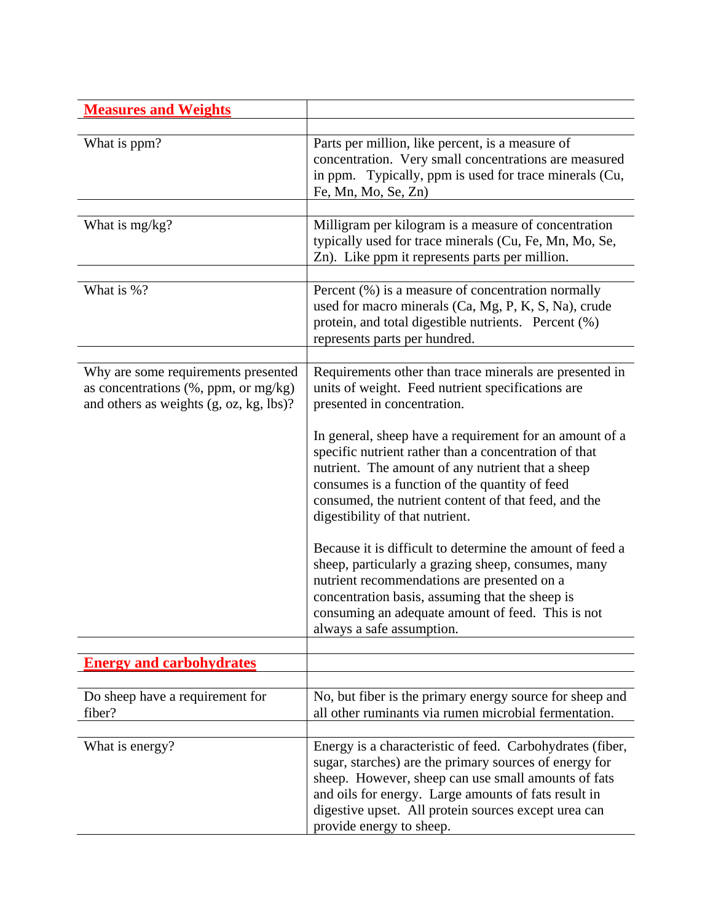| <b>Measures and Weights</b>                                                         |                                                                                                                                                                                                                                                                                                                        |
|-------------------------------------------------------------------------------------|------------------------------------------------------------------------------------------------------------------------------------------------------------------------------------------------------------------------------------------------------------------------------------------------------------------------|
|                                                                                     |                                                                                                                                                                                                                                                                                                                        |
| What is ppm?                                                                        | Parts per million, like percent, is a measure of<br>concentration. Very small concentrations are measured<br>in ppm. Typically, ppm is used for trace minerals (Cu,<br>Fe, Mn, Mo, Se, Zn)                                                                                                                             |
|                                                                                     |                                                                                                                                                                                                                                                                                                                        |
| What is mg/kg?                                                                      | Milligram per kilogram is a measure of concentration<br>typically used for trace minerals (Cu, Fe, Mn, Mo, Se,<br>Zn). Like ppm it represents parts per million.                                                                                                                                                       |
| What is %?                                                                          | Percent $(\%)$ is a measure of concentration normally<br>used for macro minerals (Ca, Mg, P, K, S, Na), crude<br>protein, and total digestible nutrients. Percent (%)<br>represents parts per hundred.                                                                                                                 |
| Why are some requirements presented                                                 | Requirements other than trace minerals are presented in                                                                                                                                                                                                                                                                |
| as concentrations $(\%$ , ppm, or mg/kg)<br>and others as weights (g, oz, kg, lbs)? | units of weight. Feed nutrient specifications are<br>presented in concentration.                                                                                                                                                                                                                                       |
|                                                                                     | In general, sheep have a requirement for an amount of a<br>specific nutrient rather than a concentration of that<br>nutrient. The amount of any nutrient that a sheep<br>consumes is a function of the quantity of feed<br>consumed, the nutrient content of that feed, and the<br>digestibility of that nutrient.     |
|                                                                                     | Because it is difficult to determine the amount of feed a<br>sheep, particularly a grazing sheep, consumes, many<br>nutrient recommendations are presented on a<br>concentration basis, assuming that the sheep is<br>consuming an adequate amount of feed. This is not<br>always a safe assumption.                   |
|                                                                                     |                                                                                                                                                                                                                                                                                                                        |
| <b>Energy and carbohydrates</b>                                                     |                                                                                                                                                                                                                                                                                                                        |
| Do sheep have a requirement for<br>fiber?                                           | No, but fiber is the primary energy source for sheep and<br>all other ruminants via rumen microbial fermentation.                                                                                                                                                                                                      |
| What is energy?                                                                     | Energy is a characteristic of feed. Carbohydrates (fiber,<br>sugar, starches) are the primary sources of energy for<br>sheep. However, sheep can use small amounts of fats<br>and oils for energy. Large amounts of fats result in<br>digestive upset. All protein sources except urea can<br>provide energy to sheep. |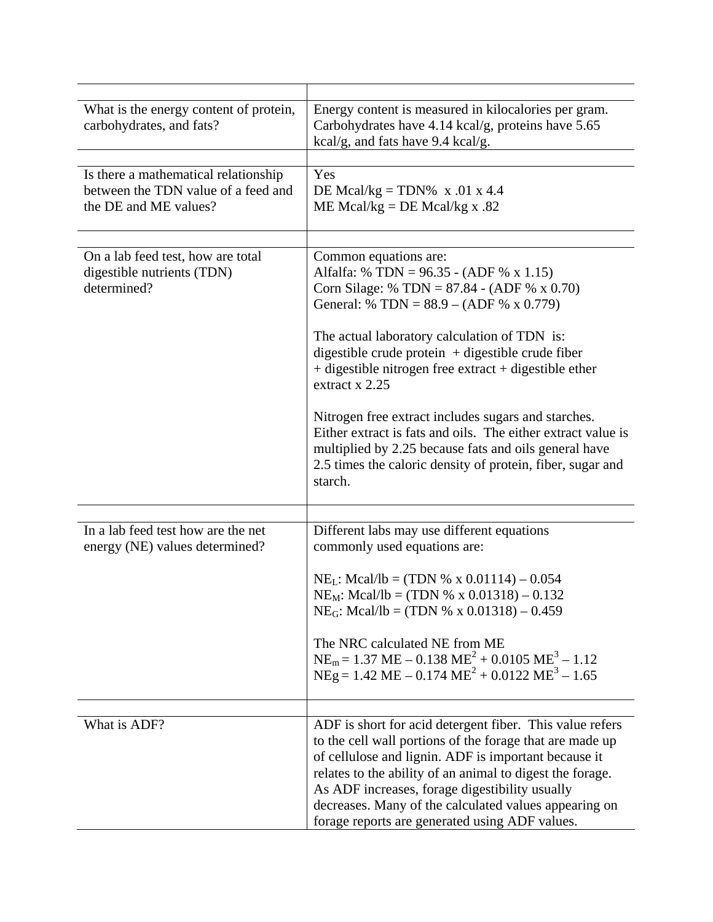| What is the energy content of protein,<br>carbohydrates, and fats?                                   | Energy content is measured in kilocalories per gram.<br>Carbohydrates have 4.14 kcal/g, proteins have 5.65<br>kcal/g, and fats have 9.4 kcal/g.                                                                                                                                                                                                                                                        |
|------------------------------------------------------------------------------------------------------|--------------------------------------------------------------------------------------------------------------------------------------------------------------------------------------------------------------------------------------------------------------------------------------------------------------------------------------------------------------------------------------------------------|
|                                                                                                      |                                                                                                                                                                                                                                                                                                                                                                                                        |
| Is there a mathematical relationship<br>between the TDN value of a feed and<br>the DE and ME values? | Yes<br>DE Mcal/kg = TDN% $x .01 x 4.4$<br>ME Mcal/kg = DE Mcal/kg x .82                                                                                                                                                                                                                                                                                                                                |
|                                                                                                      |                                                                                                                                                                                                                                                                                                                                                                                                        |
| On a lab feed test, how are total<br>digestible nutrients (TDN)<br>determined?                       | Common equations are:<br>Alfalfa: % TDN = $96.35 - (ADF % x 1.15)$<br>Corn Silage: % TDN = $87.84 - (ADE % x 0.70)$<br>General: % TDN = $88.9 - (ADE % x 0.779)$<br>The actual laboratory calculation of TDN is:<br>digestible crude protein $+$ digestible crude fiber<br>$+$ digestible nitrogen free extract $+$ digestible ether<br>extract x 2.25                                                 |
|                                                                                                      | Nitrogen free extract includes sugars and starches.<br>Either extract is fats and oils. The either extract value is<br>multiplied by 2.25 because fats and oils general have<br>2.5 times the caloric density of protein, fiber, sugar and<br>starch.                                                                                                                                                  |
|                                                                                                      |                                                                                                                                                                                                                                                                                                                                                                                                        |
| In a lab feed test how are the net<br>energy (NE) values determined?                                 | Different labs may use different equations<br>commonly used equations are:                                                                                                                                                                                                                                                                                                                             |
|                                                                                                      | $NEL: Meal/lb = (TDN % x 0.01114) – 0.054$<br>$NE_M$ : Mcal/lb = (TDN % x 0.01318) – 0.132<br>NE <sub>G</sub> : Mcal/lb = (TDN % x 0.01318) - 0.459                                                                                                                                                                                                                                                    |
|                                                                                                      | The NRC calculated NE from ME<br>$NE_m = 1.37 \text{ ME} - 0.138 \text{ ME}^2 + 0.0105 \text{ ME}^3 - 1.12$<br>$NEg = 1.42 \text{ ME} - 0.174 \text{ ME}^2 + 0.0122 \text{ ME}^3 - 1.65$                                                                                                                                                                                                               |
|                                                                                                      |                                                                                                                                                                                                                                                                                                                                                                                                        |
| What is ADF?                                                                                         | ADF is short for acid detergent fiber. This value refers<br>to the cell wall portions of the forage that are made up<br>of cellulose and lignin. ADF is important because it<br>relates to the ability of an animal to digest the forage.<br>As ADF increases, forage digestibility usually<br>decreases. Many of the calculated values appearing on<br>forage reports are generated using ADF values. |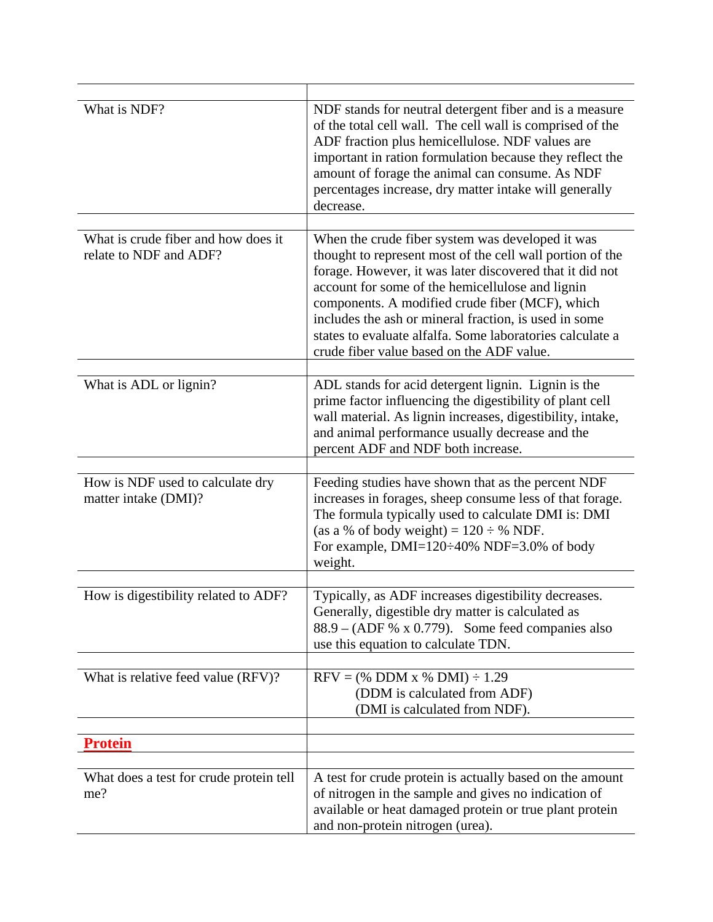| What is NDF?                                                  | NDF stands for neutral detergent fiber and is a measure<br>of the total cell wall. The cell wall is comprised of the<br>ADF fraction plus hemicellulose. NDF values are<br>important in ration formulation because they reflect the<br>amount of forage the animal can consume. As NDF<br>percentages increase, dry matter intake will generally<br>decrease.                                                                                       |
|---------------------------------------------------------------|-----------------------------------------------------------------------------------------------------------------------------------------------------------------------------------------------------------------------------------------------------------------------------------------------------------------------------------------------------------------------------------------------------------------------------------------------------|
| What is crude fiber and how does it<br>relate to NDF and ADF? | When the crude fiber system was developed it was<br>thought to represent most of the cell wall portion of the<br>forage. However, it was later discovered that it did not<br>account for some of the hemicellulose and lignin<br>components. A modified crude fiber (MCF), which<br>includes the ash or mineral fraction, is used in some<br>states to evaluate alfalfa. Some laboratories calculate a<br>crude fiber value based on the ADF value. |
| What is ADL or lignin?                                        | ADL stands for acid detergent lignin. Lignin is the<br>prime factor influencing the digestibility of plant cell<br>wall material. As lignin increases, digestibility, intake,<br>and animal performance usually decrease and the<br>percent ADF and NDF both increase.                                                                                                                                                                              |
| How is NDF used to calculate dry<br>matter intake (DMI)?      | Feeding studies have shown that as the percent NDF<br>increases in forages, sheep consume less of that forage.<br>The formula typically used to calculate DMI is: DMI<br>(as a % of body weight) = $120 \div %$ NDF.<br>For example, DMI=120÷40% NDF=3.0% of body<br>weight.                                                                                                                                                                        |
| How is digestibility related to ADF?                          | Typically, as ADF increases digestibility decreases.<br>Generally, digestible dry matter is calculated as<br>$88.9 - (ADF % x 0.779)$ . Some feed companies also<br>use this equation to calculate TDN.                                                                                                                                                                                                                                             |
| What is relative feed value (RFV)?                            | $RFV =$ (% DDM x % DMI) $\div$ 1.29<br>(DDM is calculated from ADF)<br>(DMI is calculated from NDF).                                                                                                                                                                                                                                                                                                                                                |
| <b>Protein</b>                                                |                                                                                                                                                                                                                                                                                                                                                                                                                                                     |
|                                                               |                                                                                                                                                                                                                                                                                                                                                                                                                                                     |
| What does a test for crude protein tell<br>me?                | A test for crude protein is actually based on the amount<br>of nitrogen in the sample and gives no indication of<br>available or heat damaged protein or true plant protein<br>and non-protein nitrogen (urea).                                                                                                                                                                                                                                     |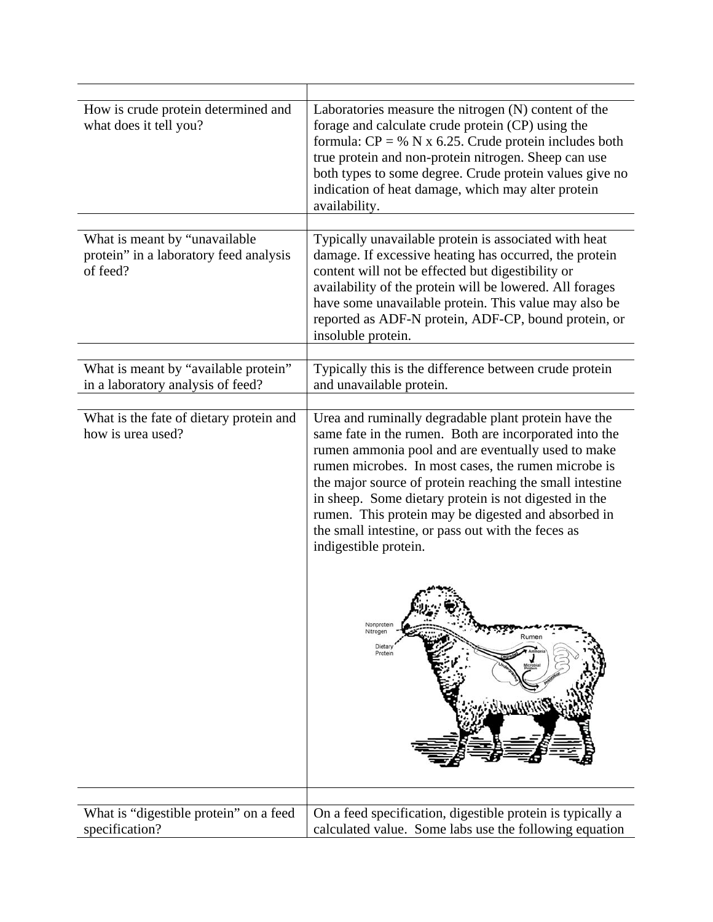| How is crude protein determined and<br>what does it tell you?             | Laboratories measure the nitrogen (N) content of the<br>forage and calculate crude protein (CP) using the<br>formula: $CP = \% N \times 6.25$ . Crude protein includes both<br>true protein and non-protein nitrogen. Sheep can use<br>both types to some degree. Crude protein values give no<br>indication of heat damage, which may alter protein<br>availability.                                                                                                                  |
|---------------------------------------------------------------------------|----------------------------------------------------------------------------------------------------------------------------------------------------------------------------------------------------------------------------------------------------------------------------------------------------------------------------------------------------------------------------------------------------------------------------------------------------------------------------------------|
| What is meant by "unavailable                                             | Typically unavailable protein is associated with heat                                                                                                                                                                                                                                                                                                                                                                                                                                  |
| protein" in a laboratory feed analysis<br>of feed?                        | damage. If excessive heating has occurred, the protein<br>content will not be effected but digestibility or<br>availability of the protein will be lowered. All forages<br>have some unavailable protein. This value may also be<br>reported as ADF-N protein, ADF-CP, bound protein, or<br>insoluble protein.                                                                                                                                                                         |
|                                                                           |                                                                                                                                                                                                                                                                                                                                                                                                                                                                                        |
| What is meant by "available protein"<br>in a laboratory analysis of feed? | Typically this is the difference between crude protein<br>and unavailable protein.                                                                                                                                                                                                                                                                                                                                                                                                     |
|                                                                           |                                                                                                                                                                                                                                                                                                                                                                                                                                                                                        |
| What is the fate of dietary protein and<br>how is urea used?              | Urea and ruminally degradable plant protein have the<br>same fate in the rumen. Both are incorporated into the<br>rumen ammonia pool and are eventually used to make<br>rumen microbes. In most cases, the rumen microbe is<br>the major source of protein reaching the small intestine<br>in sheep. Some dietary protein is not digested in the<br>rumen. This protein may be digested and absorbed in<br>the small intestine, or pass out with the feces as<br>indigestible protein. |
|                                                                           | Nonproteir<br>Nitrogen<br>Rumer<br>Dietar<br>Protein                                                                                                                                                                                                                                                                                                                                                                                                                                   |
|                                                                           |                                                                                                                                                                                                                                                                                                                                                                                                                                                                                        |
| What is "digestible protein" on a feed                                    | On a feed specification, digestible protein is typically a                                                                                                                                                                                                                                                                                                                                                                                                                             |
| specification?                                                            | calculated value. Some labs use the following equation                                                                                                                                                                                                                                                                                                                                                                                                                                 |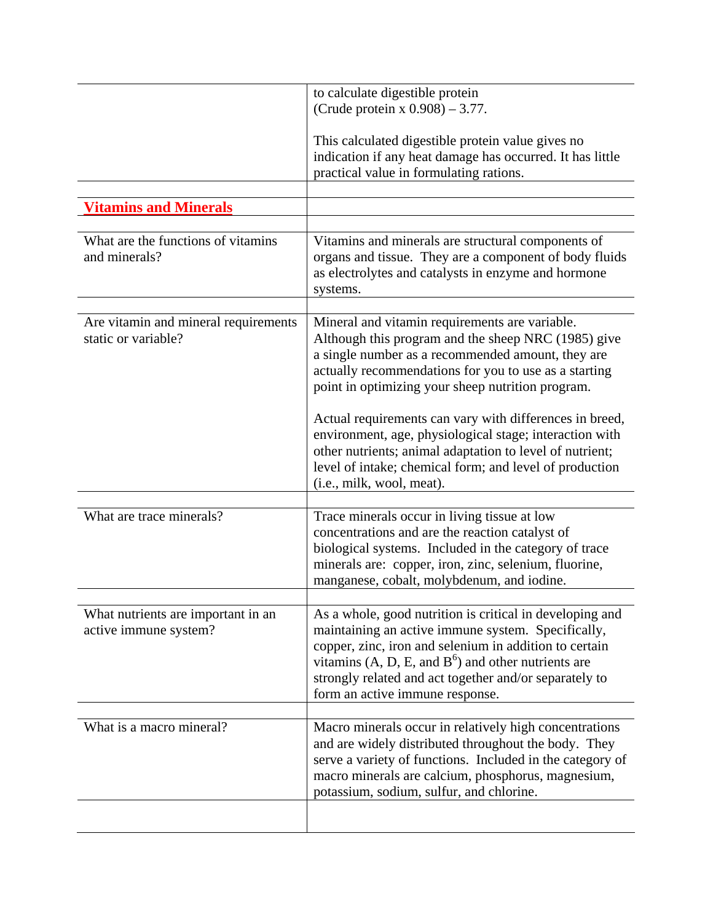|                                                             | to calculate digestible protein<br>(Crude protein x $0.908$ ) – 3.77.                                                                                                                                                                                                                                                                                                                                                                                                                                                                              |
|-------------------------------------------------------------|----------------------------------------------------------------------------------------------------------------------------------------------------------------------------------------------------------------------------------------------------------------------------------------------------------------------------------------------------------------------------------------------------------------------------------------------------------------------------------------------------------------------------------------------------|
|                                                             | This calculated digestible protein value gives no<br>indication if any heat damage has occurred. It has little<br>practical value in formulating rations.                                                                                                                                                                                                                                                                                                                                                                                          |
| <b>Vitamins and Minerals</b>                                |                                                                                                                                                                                                                                                                                                                                                                                                                                                                                                                                                    |
|                                                             |                                                                                                                                                                                                                                                                                                                                                                                                                                                                                                                                                    |
| What are the functions of vitamins<br>and minerals?         | Vitamins and minerals are structural components of<br>organs and tissue. They are a component of body fluids<br>as electrolytes and catalysts in enzyme and hormone<br>systems.                                                                                                                                                                                                                                                                                                                                                                    |
| Are vitamin and mineral requirements<br>static or variable? | Mineral and vitamin requirements are variable.<br>Although this program and the sheep NRC (1985) give<br>a single number as a recommended amount, they are<br>actually recommendations for you to use as a starting<br>point in optimizing your sheep nutrition program.<br>Actual requirements can vary with differences in breed,<br>environment, age, physiological stage; interaction with<br>other nutrients; animal adaptation to level of nutrient;<br>level of intake; chemical form; and level of production<br>(i.e., milk, wool, meat). |
|                                                             |                                                                                                                                                                                                                                                                                                                                                                                                                                                                                                                                                    |
| What are trace minerals?                                    | Trace minerals occur in living tissue at low<br>concentrations and are the reaction catalyst of<br>biological systems. Included in the category of trace<br>minerals are: copper, iron, zinc, selenium, fluorine,<br>manganese, cobalt, molybdenum, and iodine.                                                                                                                                                                                                                                                                                    |
| What nutrients are important in an<br>active immune system? | As a whole, good nutrition is critical in developing and<br>maintaining an active immune system. Specifically,<br>copper, zinc, iron and selenium in addition to certain<br>vitamins $(A, D, E, and B^6)$ and other nutrients are<br>strongly related and act together and/or separately to<br>form an active immune response.                                                                                                                                                                                                                     |
| What is a macro mineral?                                    | Macro minerals occur in relatively high concentrations                                                                                                                                                                                                                                                                                                                                                                                                                                                                                             |
|                                                             | and are widely distributed throughout the body. They<br>serve a variety of functions. Included in the category of<br>macro minerals are calcium, phosphorus, magnesium,<br>potassium, sodium, sulfur, and chlorine.                                                                                                                                                                                                                                                                                                                                |
|                                                             |                                                                                                                                                                                                                                                                                                                                                                                                                                                                                                                                                    |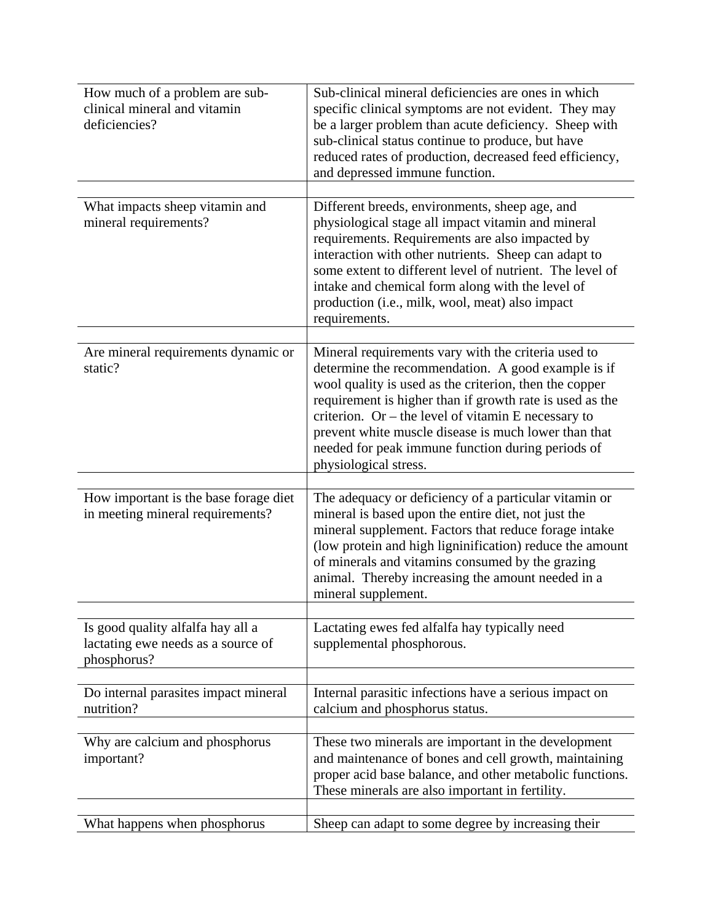| How much of a problem are sub-<br>clinical mineral and vitamin<br>deficiencies?        | Sub-clinical mineral deficiencies are ones in which<br>specific clinical symptoms are not evident. They may<br>be a larger problem than acute deficiency. Sheep with<br>sub-clinical status continue to produce, but have<br>reduced rates of production, decreased feed efficiency,<br>and depressed immune function.                                                                                                       |
|----------------------------------------------------------------------------------------|------------------------------------------------------------------------------------------------------------------------------------------------------------------------------------------------------------------------------------------------------------------------------------------------------------------------------------------------------------------------------------------------------------------------------|
| What impacts sheep vitamin and<br>mineral requirements?                                | Different breeds, environments, sheep age, and<br>physiological stage all impact vitamin and mineral<br>requirements. Requirements are also impacted by<br>interaction with other nutrients. Sheep can adapt to<br>some extent to different level of nutrient. The level of<br>intake and chemical form along with the level of<br>production (i.e., milk, wool, meat) also impact<br>requirements.                          |
| Are mineral requirements dynamic or<br>static?                                         | Mineral requirements vary with the criteria used to<br>determine the recommendation. A good example is if<br>wool quality is used as the criterion, then the copper<br>requirement is higher than if growth rate is used as the<br>criterion. Or – the level of vitamin E necessary to<br>prevent white muscle disease is much lower than that<br>needed for peak immune function during periods of<br>physiological stress. |
| How important is the base forage diet<br>in meeting mineral requirements?              | The adequacy or deficiency of a particular vitamin or<br>mineral is based upon the entire diet, not just the<br>mineral supplement. Factors that reduce forage intake<br>(low protein and high ligninification) reduce the amount<br>of minerals and vitamins consumed by the grazing<br>animal. Thereby increasing the amount needed in a<br>mineral supplement.                                                            |
| Is good quality alfalfa hay all a<br>lactating ewe needs as a source of<br>phosphorus? | Lactating ewes fed alfalfa hay typically need<br>supplemental phosphorous.                                                                                                                                                                                                                                                                                                                                                   |
| Do internal parasites impact mineral<br>nutrition?                                     | Internal parasitic infections have a serious impact on<br>calcium and phosphorus status.                                                                                                                                                                                                                                                                                                                                     |
| Why are calcium and phosphorus<br>important?                                           | These two minerals are important in the development<br>and maintenance of bones and cell growth, maintaining<br>proper acid base balance, and other metabolic functions.<br>These minerals are also important in fertility.                                                                                                                                                                                                  |
| What happens when phosphorus                                                           | Sheep can adapt to some degree by increasing their                                                                                                                                                                                                                                                                                                                                                                           |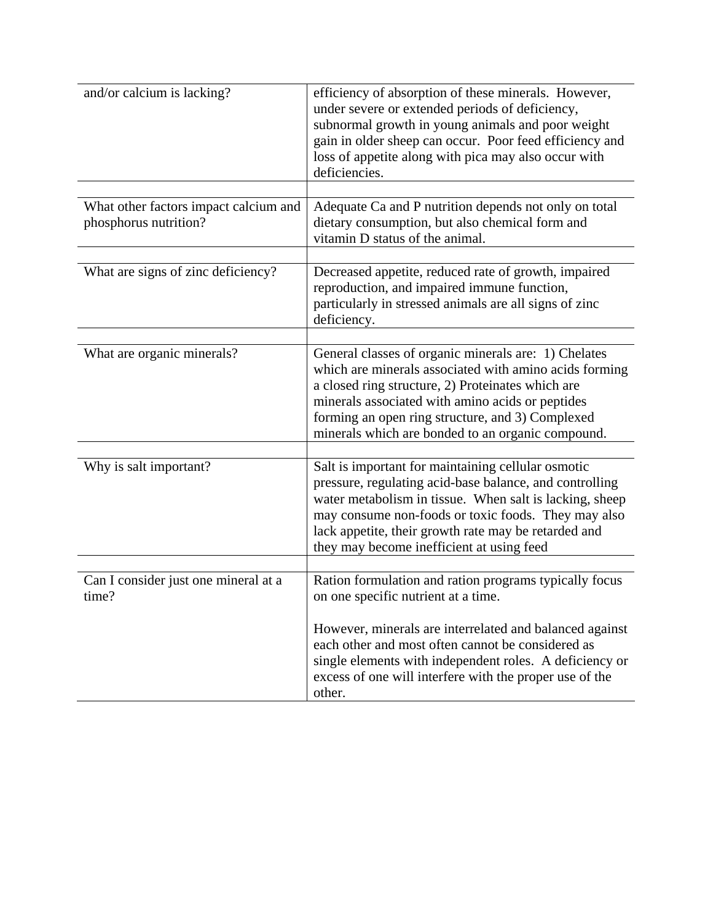| and/or calcium is lacking?                                     | efficiency of absorption of these minerals. However,<br>under severe or extended periods of deficiency,<br>subnormal growth in young animals and poor weight<br>gain in older sheep can occur. Poor feed efficiency and<br>loss of appetite along with pica may also occur with<br>deficiencies.                                              |
|----------------------------------------------------------------|-----------------------------------------------------------------------------------------------------------------------------------------------------------------------------------------------------------------------------------------------------------------------------------------------------------------------------------------------|
| What other factors impact calcium and<br>phosphorus nutrition? | Adequate Ca and P nutrition depends not only on total<br>dietary consumption, but also chemical form and<br>vitamin D status of the animal.                                                                                                                                                                                                   |
| What are signs of zinc deficiency?                             | Decreased appetite, reduced rate of growth, impaired<br>reproduction, and impaired immune function,<br>particularly in stressed animals are all signs of zinc<br>deficiency.                                                                                                                                                                  |
| What are organic minerals?                                     | General classes of organic minerals are: 1) Chelates<br>which are minerals associated with amino acids forming<br>a closed ring structure, 2) Proteinates which are<br>minerals associated with amino acids or peptides<br>forming an open ring structure, and 3) Complexed<br>minerals which are bonded to an organic compound.              |
| Why is salt important?                                         | Salt is important for maintaining cellular osmotic<br>pressure, regulating acid-base balance, and controlling<br>water metabolism in tissue. When salt is lacking, sheep<br>may consume non-foods or toxic foods. They may also<br>lack appetite, their growth rate may be retarded and<br>they may become inefficient at using feed          |
| Can I consider just one mineral at a<br>time?                  | Ration formulation and ration programs typically focus<br>on one specific nutrient at a time.<br>However, minerals are interrelated and balanced against<br>each other and most often cannot be considered as<br>single elements with independent roles. A deficiency or<br>excess of one will interfere with the proper use of the<br>other. |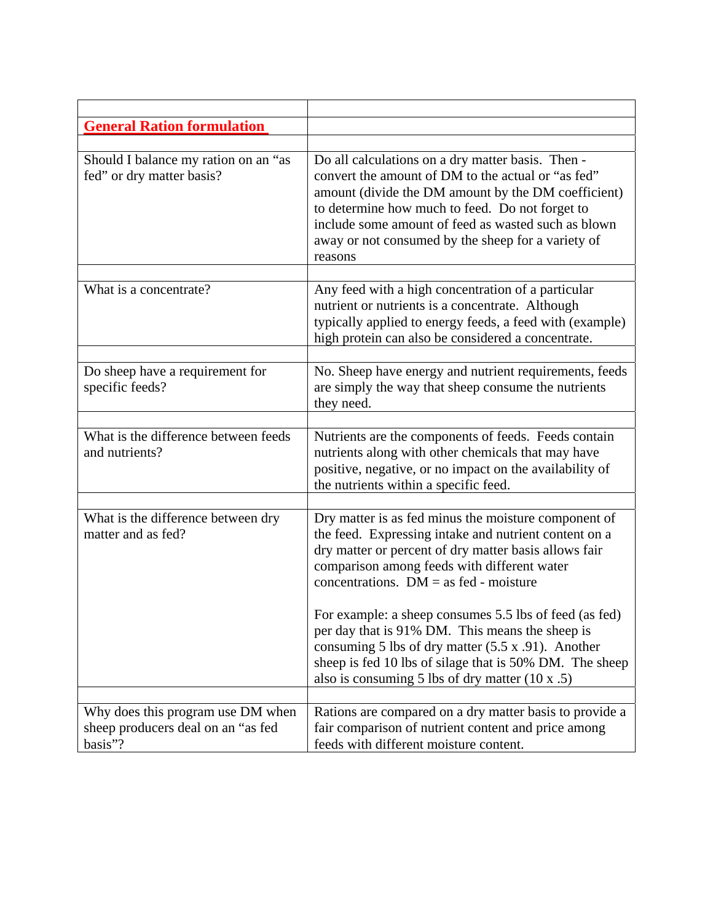| <b>General Ration formulation</b>                                                  |                                                                                                                                                                                                                                                                                                                                           |
|------------------------------------------------------------------------------------|-------------------------------------------------------------------------------------------------------------------------------------------------------------------------------------------------------------------------------------------------------------------------------------------------------------------------------------------|
|                                                                                    |                                                                                                                                                                                                                                                                                                                                           |
| Should I balance my ration on an "as<br>fed" or dry matter basis?                  | Do all calculations on a dry matter basis. Then -<br>convert the amount of DM to the actual or "as fed"<br>amount (divide the DM amount by the DM coefficient)<br>to determine how much to feed. Do not forget to<br>include some amount of feed as wasted such as blown<br>away or not consumed by the sheep for a variety of<br>reasons |
|                                                                                    |                                                                                                                                                                                                                                                                                                                                           |
| What is a concentrate?                                                             | Any feed with a high concentration of a particular<br>nutrient or nutrients is a concentrate. Although<br>typically applied to energy feeds, a feed with (example)<br>high protein can also be considered a concentrate.                                                                                                                  |
|                                                                                    |                                                                                                                                                                                                                                                                                                                                           |
| Do sheep have a requirement for<br>specific feeds?                                 | No. Sheep have energy and nutrient requirements, feeds<br>are simply the way that sheep consume the nutrients<br>they need.                                                                                                                                                                                                               |
|                                                                                    |                                                                                                                                                                                                                                                                                                                                           |
| What is the difference between feeds<br>and nutrients?                             | Nutrients are the components of feeds. Feeds contain<br>nutrients along with other chemicals that may have<br>positive, negative, or no impact on the availability of<br>the nutrients within a specific feed.                                                                                                                            |
|                                                                                    |                                                                                                                                                                                                                                                                                                                                           |
| What is the difference between dry<br>matter and as fed?                           | Dry matter is as fed minus the moisture component of<br>the feed. Expressing intake and nutrient content on a<br>dry matter or percent of dry matter basis allows fair<br>comparison among feeds with different water<br>concentrations. $DM = as fed - moisture$                                                                         |
|                                                                                    | For example: a sheep consumes 5.5 lbs of feed (as fed)<br>per day that is 91% DM. This means the sheep is<br>consuming $5$ lbs of dry matter $(5.5 \times .91)$ . Another<br>sheep is fed 10 lbs of silage that is 50% DM. The sheep<br>also is consuming 5 lbs of dry matter $(10 \times .5)$                                            |
|                                                                                    |                                                                                                                                                                                                                                                                                                                                           |
| Why does this program use DM when<br>sheep producers deal on an "as fed<br>basis"? | Rations are compared on a dry matter basis to provide a<br>fair comparison of nutrient content and price among<br>feeds with different moisture content.                                                                                                                                                                                  |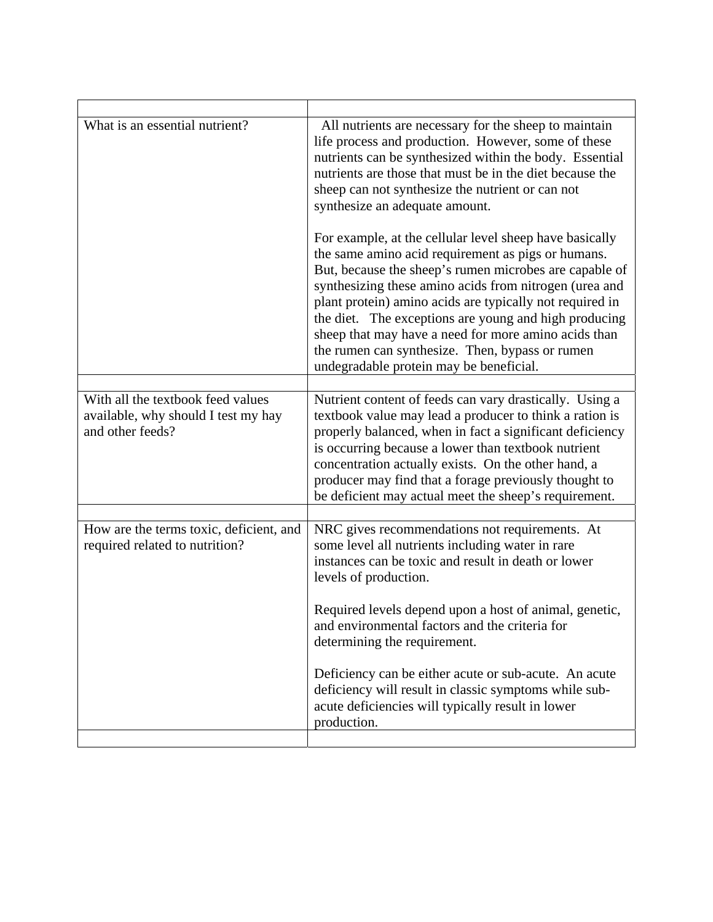| What is an essential nutrient?                                                               | All nutrients are necessary for the sheep to maintain<br>life process and production. However, some of these<br>nutrients can be synthesized within the body. Essential<br>nutrients are those that must be in the diet because the<br>sheep can not synthesize the nutrient or can not<br>synthesize an adequate amount.                                                                                                                                                                                    |
|----------------------------------------------------------------------------------------------|--------------------------------------------------------------------------------------------------------------------------------------------------------------------------------------------------------------------------------------------------------------------------------------------------------------------------------------------------------------------------------------------------------------------------------------------------------------------------------------------------------------|
|                                                                                              | For example, at the cellular level sheep have basically<br>the same amino acid requirement as pigs or humans.<br>But, because the sheep's rumen microbes are capable of<br>synthesizing these amino acids from nitrogen (urea and<br>plant protein) amino acids are typically not required in<br>the diet. The exceptions are young and high producing<br>sheep that may have a need for more amino acids than<br>the rumen can synthesize. Then, bypass or rumen<br>undegradable protein may be beneficial. |
| With all the textbook feed values<br>available, why should I test my hay<br>and other feeds? | Nutrient content of feeds can vary drastically. Using a<br>textbook value may lead a producer to think a ration is<br>properly balanced, when in fact a significant deficiency<br>is occurring because a lower than textbook nutrient<br>concentration actually exists. On the other hand, a<br>producer may find that a forage previously thought to<br>be deficient may actual meet the sheep's requirement.                                                                                               |
| How are the terms toxic, deficient, and<br>required related to nutrition?                    | NRC gives recommendations not requirements. At<br>some level all nutrients including water in rare<br>instances can be toxic and result in death or lower<br>levels of production.                                                                                                                                                                                                                                                                                                                           |
|                                                                                              | Required levels depend upon a host of animal, genetic,<br>and environmental factors and the criteria for<br>determining the requirement.                                                                                                                                                                                                                                                                                                                                                                     |
|                                                                                              | Deficiency can be either acute or sub-acute. An acute<br>deficiency will result in classic symptoms while sub-<br>acute deficiencies will typically result in lower<br>production.                                                                                                                                                                                                                                                                                                                           |
|                                                                                              |                                                                                                                                                                                                                                                                                                                                                                                                                                                                                                              |